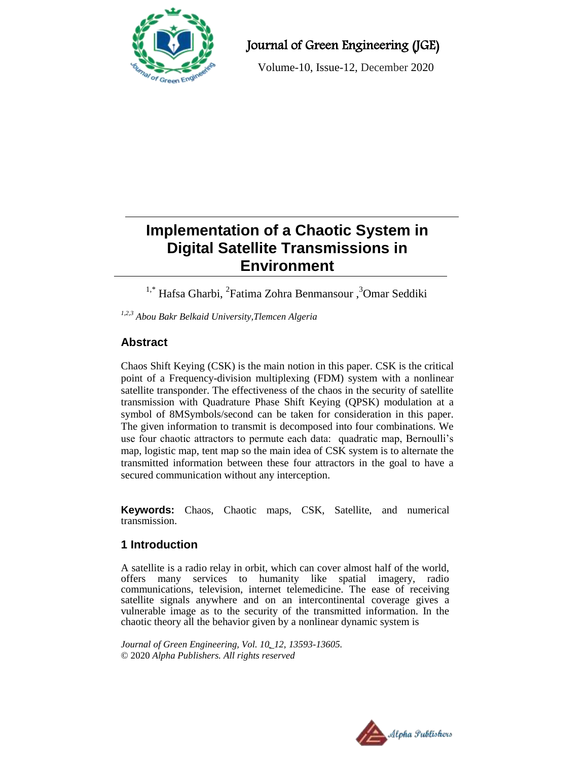

Journal of Green Engineering (JGE)

Volume-10, Issue-12, December 2020

# **Implementation of a Chaotic System in Digital Satellite Transmissions in Environment**

<sup>1,\*</sup> Hafsa Gharbi, <sup>2</sup>Fatima Zohra Benmansour, <sup>3</sup>Omar Seddiki

*1,2,3 Abou Bakr Belkaid University,Tlemcen Algeria*

# **Abstract**

Chaos Shift Keying (CSK) is the main notion in this paper. CSK is the critical point of a Frequency-division multiplexing (FDM) system with a nonlinear satellite transponder. The effectiveness of the chaos in the security of satellite transmission with Quadrature Phase Shift Keying (QPSK) modulation at a symbol of 8MSymbols/second can be taken for consideration in this paper. The given information to transmit is decomposed into four combinations. We use four chaotic attractors to permute each data: quadratic map, Bernoulli's map, logistic map, tent map so the main idea of CSK system is to alternate the transmitted information between these four attractors in the goal to have a secured communication without any interception.

**Keywords:** Chaos, Chaotic maps, CSK, Satellite, and numerical transmission.

# **1 Introduction**

A satellite is a radio relay in orbit, which can cover almost half of the world, offers many services to humanity like spatial imagery, radio communications, television, internet telemedicine. The ease of receiving satellite signals anywhere and on an intercontinental coverage gives a vulnerable image as to the security of the transmitted information. In the chaotic theory all the behavior given by a nonlinear dynamic system is

*Journal of Green Engineering, Vol. 10\_12, 13593-13605.* © 2020 *Alpha Publishers. All rights reserved*

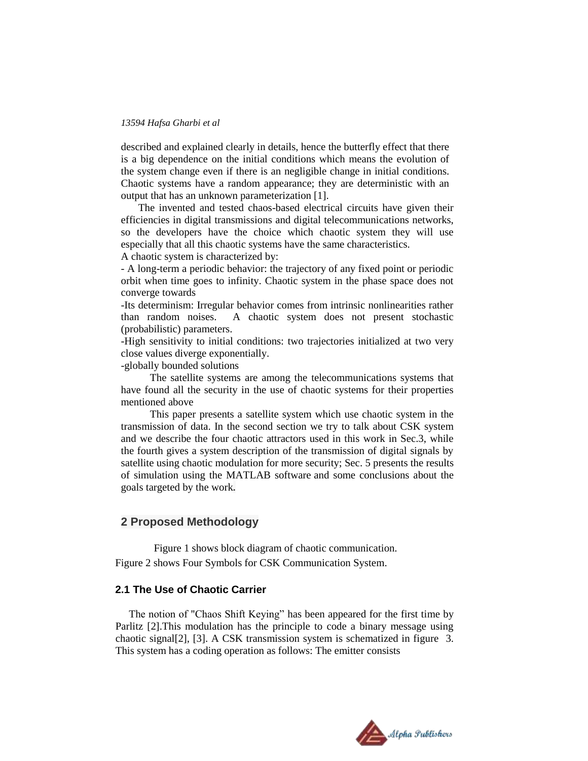described and explained clearly in details, hence the butterfly effect that there is a big dependence on the initial conditions which means the evolution of the system change even if there is an negligible change in initial conditions. Chaotic systems have a random appearance; they are deterministic with an output that has an unknown parameterization [1].

The invented and tested chaos-based electrical circuits have given their efficiencies in digital transmissions and digital telecommunications networks, so the developers have the choice which chaotic system they will use especially that all this chaotic systems have the same characteristics.

A chaotic system is characterized by:

- A long-term a periodic behavior: the trajectory of any fixed point or periodic orbit when time goes to infinity. Chaotic system in the phase space does not converge towards

-Its determinism: Irregular behavior comes from intrinsic nonlinearities rather than random noises. A chaotic system does not present stochastic (probabilistic) parameters.

-High sensitivity to initial conditions: two trajectories initialized at two very close values diverge exponentially.

-globally bounded solutions

 The satellite systems are among the telecommunications systems that have found all the security in the use of chaotic systems for their properties mentioned above

 This paper presents a satellite system which use chaotic system in the transmission of data. In the second section we try to talk about CSK system and we describe the four chaotic attractors used in this work in Sec.3, while the fourth gives a system description of the transmission of digital signals by satellite using chaotic modulation for more security; Sec. 5 presents the results of simulation using the MATLAB software and some conclusions about the goals targeted by the work**.**

### **2 Proposed Methodology**

 Figure 1 shows block diagram of chaotic communication. Figure 2 shows Four Symbols for CSK Communication System.

### **2.1 The Use of Chaotic Carrier**

 The notion of "Chaos Shift Keying" has been appeared for the first time by Parlitz [2].This modulation has the principle to code a binary message using chaotic signal[2], [3]. A CSK transmission system is schematized in figure 3. This system has a coding operation as follows: The emitter consists

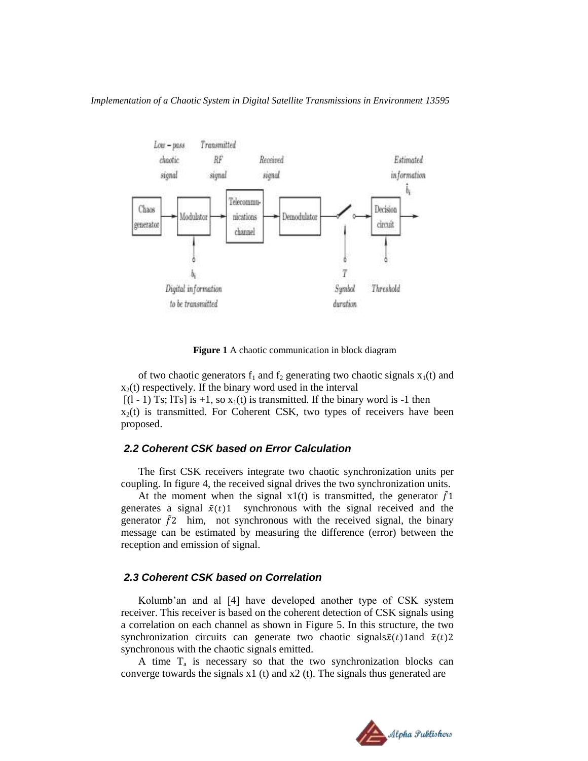

 **Figure 1** A chaotic communication in block diagram

of two chaotic generators  $f_1$  and  $f_2$  generating two chaotic signals  $x_1(t)$  and  $x_2(t)$  respectively. If the binary word used in the interval  $[(1 - 1)$  Ts; lTs] is +1, so  $x_1(t)$  is transmitted. If the binary word is -1 then  $x_2(t)$  is transmitted. For Coherent CSK, two types of receivers have been proposed.

#### *2.2 Coherent CSK based on Error Calculation*

The first CSK receivers integrate two chaotic synchronization units per coupling. In figure 4, the received signal drives the two synchronization units.

At the moment when the signal x1(t) is transmitted, the generator  $\tilde{f}$ 1 generates a signal  $\tilde{x}(t)$ 1 synchronous with the signal received and the generator  $\tilde{f}$  him, not synchronous with the received signal, the binary message can be estimated by measuring the difference (error) between the reception and emission of signal.

### *2.3 Coherent CSK based on Correlation*

Kolumb'an and al [4] have developed another type of CSK system receiver. This receiver is based on the coherent detection of CSK signals using a correlation on each channel as shown in Figure 5. In this structure, the two synchronization circuits can generate two chaotic signals  $\tilde{x}(t)$  land  $\tilde{x}(t)$  2 synchronous with the chaotic signals emitted.

A time  $T_a$  is necessary so that the two synchronization blocks can converge towards the signals  $x1$  (t) and  $x2$  (t). The signals thus generated are

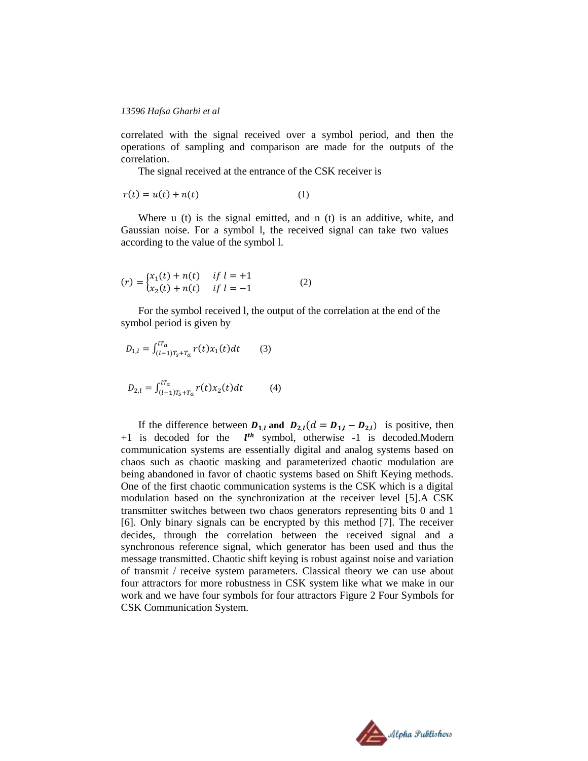correlated with the signal received over a symbol period, and then the operations of sampling and comparison are made for the outputs of the correlation.

The signal received at the entrance of the CSK receiver is

$$
r(t) = u(t) + n(t) \tag{1}
$$

Where u (t) is the signal emitted, and n (t) is an additive, white, and Gaussian noise. For a symbol l, the received signal can take two values according to the value of the symbol l.

$$
(r) = \begin{cases} x_1(t) + n(t) & \text{if } l = +1 \\ x_2(t) + n(t) & \text{if } l = -1 \end{cases}
$$
 (2)

For the symbol received l, the output of the correlation at the end of the symbol period is given by

$$
D_{1,l} = \int_{(l-1)T_s + T_a}^{lT_a} r(t)x_1(t)dt \qquad (3)
$$

$$
D_{2,l} = \int_{(l-1)T_s + T_a}^{lT_a} r(t)x_2(t)dt \tag{4}
$$

If the difference between  $D_{1,l}$  and  $D_{2,l}(d = D_{1,l} - D_{2,l})$  is positive, then  $+1$  is decoded for the  $l<sup>th</sup>$  symbol, otherwise -1 is decoded. Modern communication systems are essentially digital and analog systems based on chaos such as chaotic masking and parameterized chaotic modulation are being abandoned in favor of chaotic systems based on Shift Keying methods. One of the first chaotic communication systems is the CSK which is a digital modulation based on the synchronization at the receiver level [5].A CSK transmitter switches between two chaos generators representing bits 0 and 1 [6]. Only binary signals can be encrypted by this method [7]. The receiver decides, through the correlation between the received signal and a synchronous reference signal, which generator has been used and thus the message transmitted. Chaotic shift keying is robust against noise and variation of transmit / receive system parameters. Classical theory we can use about four attractors for more robustness in CSK system like what we make in our work and we have four symbols for four attractors Figure 2 Four Symbols for CSK Communication System.

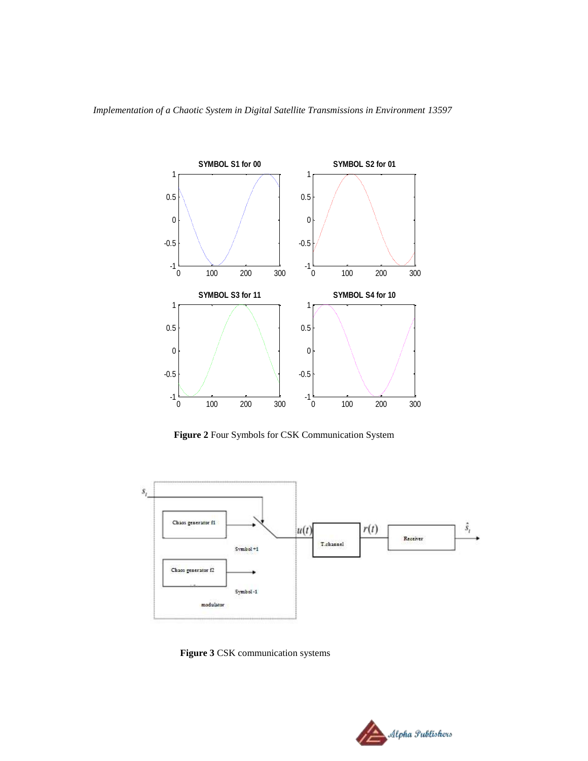

 **Figure 2** Four Symbols for CSK Communication System



 **Figure 3** CSK communication systems

![](_page_4_Picture_5.jpeg)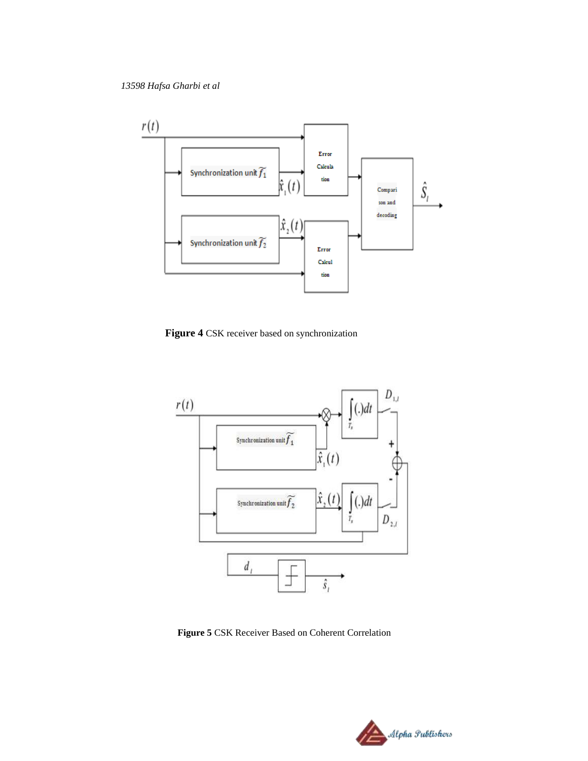![](_page_5_Figure_1.jpeg)

**Figure 4** CSK receiver based on synchronization

![](_page_5_Figure_3.jpeg)

 **Figure 5** CSK Receiver Based on Coherent Correlation

![](_page_5_Picture_5.jpeg)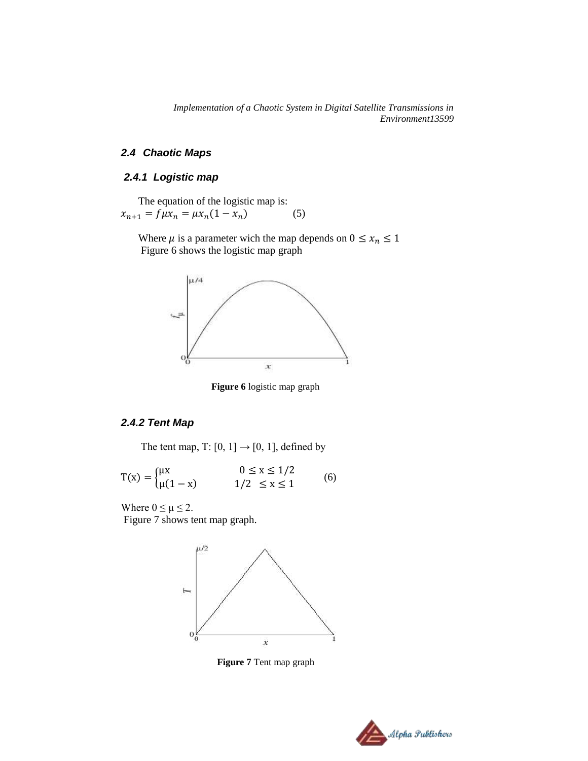### *2.4 Chaotic Maps*

# *2.4.1 Logistic map*

The equation of the logistic map is:  $x_{n+1} = f \mu x_n = \mu x_n (1 - x_n)$  (5)

Where  $\mu$  is a parameter wich the map depends on  $0 \le x_n \le 1$ Figure 6 shows the logistic map graph

![](_page_6_Figure_5.jpeg)

**Figure 6** logistic map graph

### *2.4.2 Tent Map*

The tent map, T: [0, 1]  $\rightarrow$  [0, 1], defined by

$$
T(x) = \begin{cases} \mu x & 0 \le x \le 1/2 \\ \mu(1-x) & 1/2 \le x \le 1 \end{cases}
$$
 (6)

Where  $0 \leq \mu \leq 2$ . Figure 7 shows tent map graph.

![](_page_6_Figure_11.jpeg)

 **Figure 7** Tent map graph

![](_page_6_Picture_13.jpeg)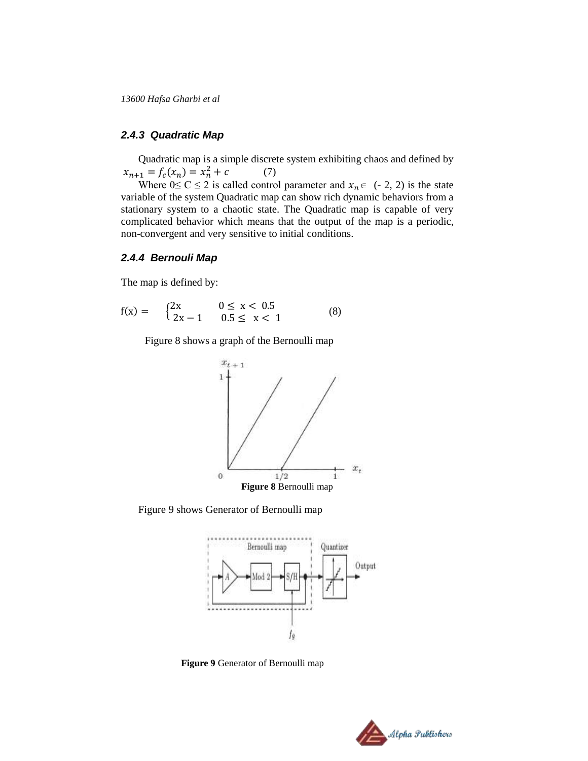### *2.4.3 Quadratic Map*

Quadratic map is a simple discrete system exhibiting chaos and defined by  $x_{n+1} = f_c(x_n) = x_n^2 + c$  (7)

Where  $0 \le C \le 2$  is called control parameter and  $x_n \in (-2, 2)$  is the state variable of the system Quadratic map can show rich dynamic behaviors from a stationary system to a chaotic state. The Quadratic map is capable of very complicated behavior which means that the output of the map is a periodic, non-convergent and very sensitive to initial conditions.

### *2.4.4 Bernouli Map*

The map is defined by:

$$
f(x) = \begin{cases} 2x & 0 \le x < 0.5 \\ 2x - 1 & 0.5 \le x < 1 \end{cases}
$$
 (8)

Figure 8 shows a graph of the Bernoulli map

![](_page_7_Figure_8.jpeg)

Figure 9 shows Generator of Bernoulli map

![](_page_7_Figure_10.jpeg)

 **Figure 9** Generator of Bernoulli map

![](_page_7_Picture_12.jpeg)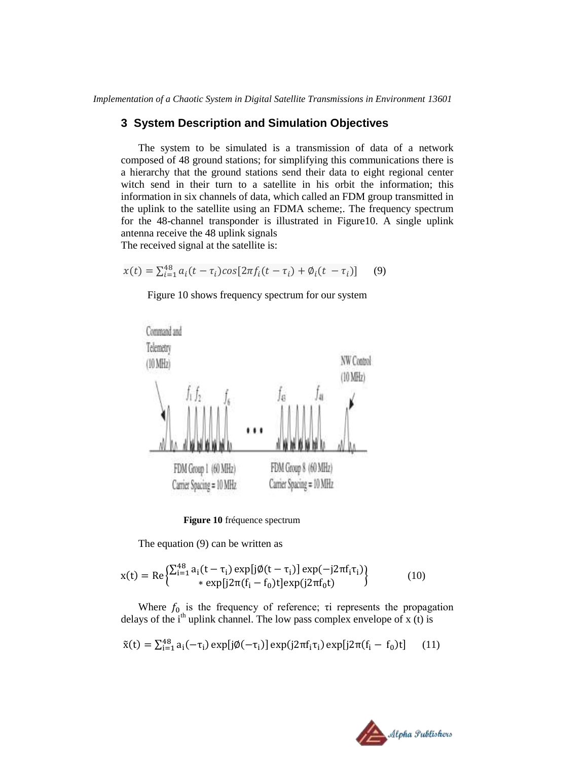### **3 System Description and Simulation Objectives**

The system to be simulated is a transmission of data of a network composed of 48 ground stations; for simplifying this communications there is a hierarchy that the ground stations send their data to eight regional center witch send in their turn to a satellite in his orbit the information; this information in six channels of data, which called an FDM group transmitted in the uplink to the satellite using an FDMA scheme;. The frequency spectrum for the 48-channel transponder is illustrated in Figure10. A single uplink antenna receive the 48 uplink signals The received signal at the satellite is:

$$
x(t) = \sum_{i=1}^{48} a_i (t - \tau_i) \cos[2\pi f_i (t - \tau_i) + \phi_i (t - \tau_i)] \tag{9}
$$

Figure 10 shows frequency spectrum for our system

![](_page_8_Figure_5.jpeg)

**Figure 10** fréquence spectrum

The equation (9) can be written as

$$
x(t) = Re \left\{ \sum_{i=1}^{48} a_i (t - \tau_i) \exp[j\emptyset(t - \tau_i)] \exp(-j2\pi f_i \tau_i) \right\}
$$
  
 \* 
$$
\exp[j2\pi (f_i - f_0)t] \exp(j2\pi f_0 t)
$$
 (10)

Where  $f_0$  is the frequency of reference; τi represents the propagation delays of the i<sup>th</sup> uplink channel. The low pass complex envelope of x (t) is

$$
\tilde{x}(t) = \sum_{i=1}^{48} a_i(-\tau_i) \exp[j\phi(-\tau_i)] \exp(j2\pi f_i \tau_i) \exp[j2\pi (f_i - f_0)t] \tag{11}
$$

![](_page_8_Picture_11.jpeg)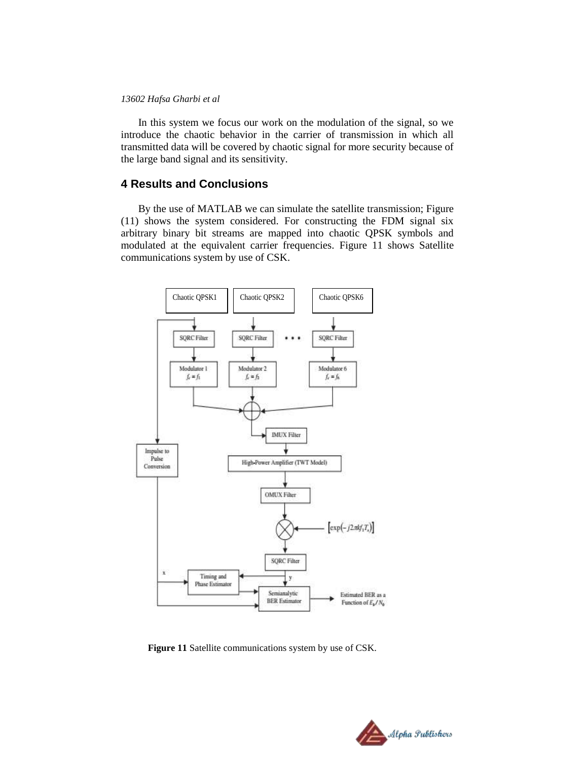In this system we focus our work on the modulation of the signal, so we introduce the chaotic behavior in the carrier of transmission in which all transmitted data will be covered by chaotic signal for more security because of the large band signal and its sensitivity.

### **4 Results and Conclusions**

By the use of MATLAB we can simulate the satellite transmission; Figure (11) shows the system considered. For constructing the FDM signal six arbitrary binary bit streams are mapped into chaotic QPSK symbols and modulated at the equivalent carrier frequencies. Figure 11 shows Satellite communications system by use of CSK.

![](_page_9_Figure_4.jpeg)

 **Figure 11** Satellite communications system by use of CSK.

![](_page_9_Picture_6.jpeg)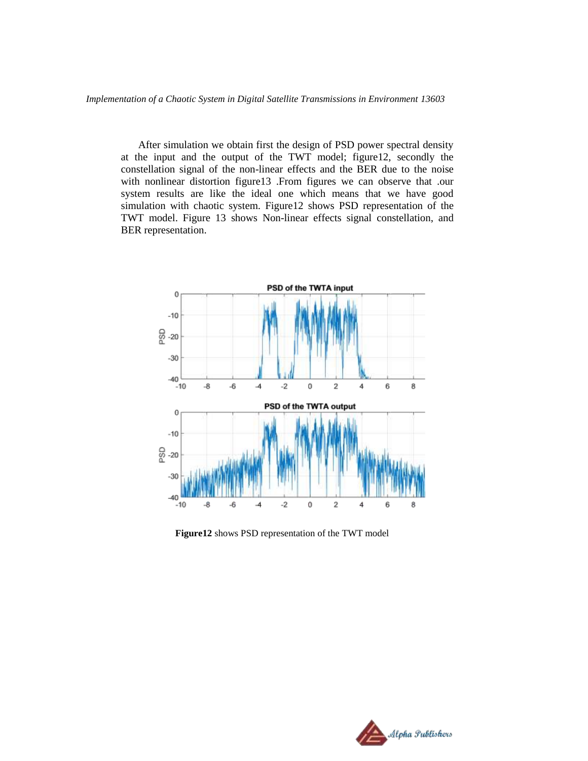After simulation we obtain first the design of PSD power spectral density at the input and the output of the TWT model; figure12, secondly the constellation signal of the non-linear effects and the BER due to the noise with nonlinear distortion figure13 .From figures we can observe that .our system results are like the ideal one which means that we have good simulation with chaotic system. Figure12 shows PSD representation of the TWT model. Figure 13 shows Non-linear effects signal constellation, and BER representation.

![](_page_10_Figure_2.jpeg)

 **Figure12** shows PSD representation of the TWT model

![](_page_10_Picture_4.jpeg)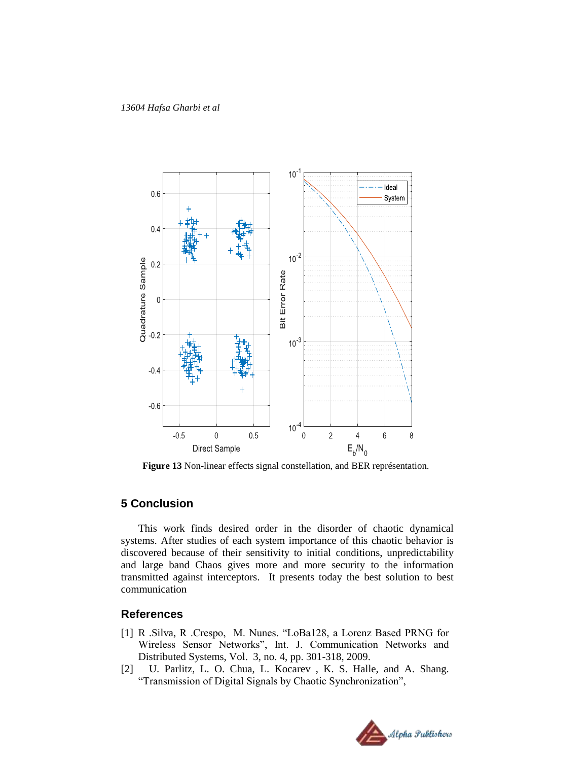![](_page_11_Figure_1.jpeg)

**Figure 13** Non-linear effects signal constellation, and BER représentation.

## **5 Conclusion**

This work finds desired order in the disorder of chaotic dynamical systems. After studies of each system importance of this chaotic behavior is discovered because of their sensitivity to initial conditions, unpredictability and large band Chaos gives more and more security to the information transmitted against interceptors. It presents today the best solution to best communication

### **References**

- [1] R .Silva, R .Crespo, M. Nunes. "LoBa128, a Lorenz Based PRNG for Wireless Sensor Networks", Int. J. Communication Networks and Distributed Systems, Vol. 3, no. 4, pp. 301-318, 2009.
- [2] U. Parlitz, L. O. Chua, L. Kocarev , K. S. Halle, and A. Shang. "Transmission of Digital Signals by Chaotic Synchronization",

![](_page_11_Picture_8.jpeg)